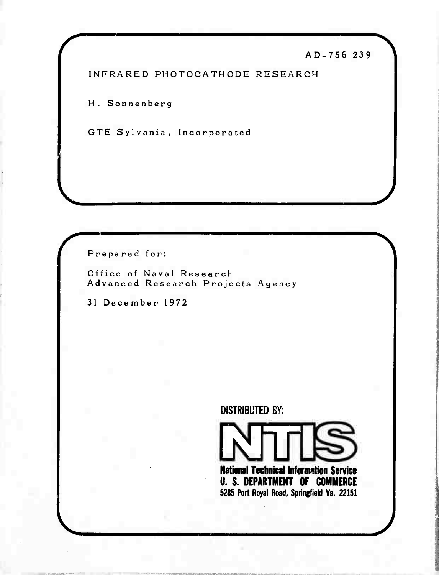# AD-756 239

INFRARED PHOTOCATHODE RESEARCH

H. Sonnenberg

GTE Sylvania, Incorporated

Prepared for:

Office of Naval Research Advanced Research Projects Agency

<sup>31</sup> December 1972

DISTRIBUTED BY:

KJin **National Technical Information Service U. S. DEPARTMENT OF COMMERCE 5285 Port Royal Road. Springfield Va. 22151**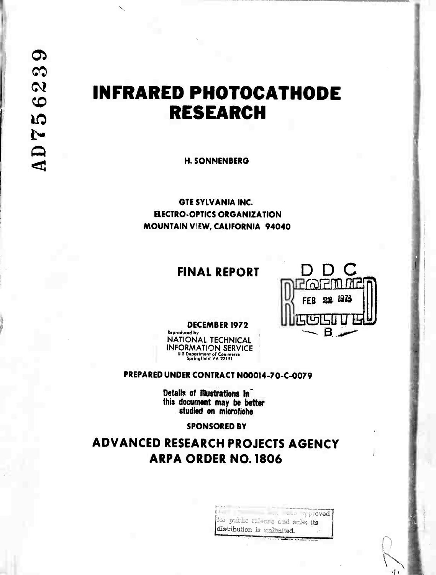# **INFRARED PHOTOCATHODE RESEARCH**

**H. SONNENBERG** 

**GTE SYLVANIA INC. ELECTRO-OPTICS ORGANIZATION** MOUNTAIN VIEW, CALIFORNIA 94040

# **FINAL REPORT**



**DECEMBER 1972** 

**Reproduced by NATIONAL TECHNICAL INFORMATION SERVICE** U.S. Department of Commerce<br>Springfield VA 22151

PREPARED UNDER CONTRACT N00014-70-C-0079

Details of lilustrations in this document may be better studied on microfiche

### **SPONSORED BY**

# **ADVANCED RESEARCH PROJECTS AGENCY ARPA ORDER NO. 1806**

the community of the community www.communication.com for public release and sale; its distribution is unlimited.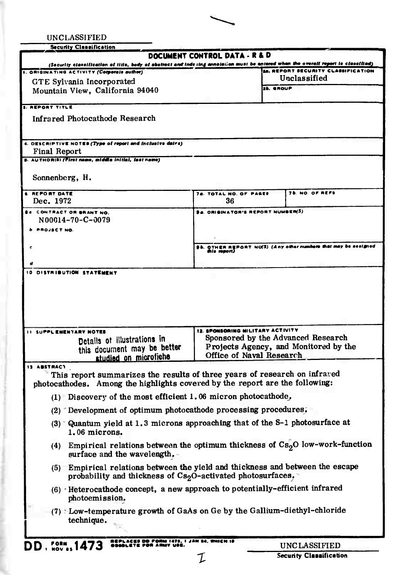| UNCLASSIFIED                                                                 |                                                                                                                                                                                 |
|------------------------------------------------------------------------------|---------------------------------------------------------------------------------------------------------------------------------------------------------------------------------|
| <b>Security Classification</b>                                               |                                                                                                                                                                                 |
|                                                                              | DOCUMENT CONTROL DATA - R & D                                                                                                                                                   |
| ORIGINATING ACTIVITY (Corporate author)                                      | (Security classification of title, body of abstract and indexing annotation must be entered when the overall report to classified)<br><b>14. REPORT SECURITY CLASSIFICATION</b> |
| GTE Sylvania Incorporated                                                    | Unclassified                                                                                                                                                                    |
| Mountain View, California 94040                                              | <b>26. GROUP</b>                                                                                                                                                                |
|                                                                              |                                                                                                                                                                                 |
| <b>3. REPORT TITLE</b>                                                       |                                                                                                                                                                                 |
| <b>Infrared Photocathode Research</b>                                        |                                                                                                                                                                                 |
|                                                                              |                                                                                                                                                                                 |
| 4. DESCRIPTIVE NOTES (Type of report and inclusive dairs)                    |                                                                                                                                                                                 |
| <b>Final Report</b>                                                          |                                                                                                                                                                                 |
| s. AUTHOR(S) (First name, middle initial, fast name)                         |                                                                                                                                                                                 |
|                                                                              |                                                                                                                                                                                 |
| Sonnenberg, H.                                                               |                                                                                                                                                                                 |
| <b>6 REPORT DATE</b>                                                         | <b>76. NO. OF REFS</b><br>78. TOTAL NO. OF PARES                                                                                                                                |
| Dec. 1972                                                                    | 36                                                                                                                                                                              |
| <b>B. CONTRACT OR SRANT NO.</b>                                              | 94. ORIGINATOR'S REPORT NUMBER(S)                                                                                                                                               |
| N00014-70-C-0079                                                             |                                                                                                                                                                                 |
| <b>PROJECT NO.</b>                                                           |                                                                                                                                                                                 |
|                                                                              |                                                                                                                                                                                 |
|                                                                              | OTHER REPORT NU(S) (Any other numbers that may be seeigned<br>this report)                                                                                                      |
|                                                                              |                                                                                                                                                                                 |
| 10 DISTRIBUTION STATEMENT                                                    |                                                                                                                                                                                 |
|                                                                              |                                                                                                                                                                                 |
|                                                                              |                                                                                                                                                                                 |
|                                                                              |                                                                                                                                                                                 |
|                                                                              |                                                                                                                                                                                 |
|                                                                              |                                                                                                                                                                                 |
| SUPPL EMENTARY NOTES                                                         | 12. SPONSORING MILITARY ACTIVITY                                                                                                                                                |
| Detalls of illustrations in                                                  | Sponsored by the Advanced Research                                                                                                                                              |
| this document may be better                                                  | Projects Agency, and Monitored by the<br>Office of Naval Research                                                                                                               |
| studied on microfiche                                                        |                                                                                                                                                                                 |
| 13 ABSTRACT                                                                  | This report summarizes the results of three years of research on infrared                                                                                                       |
| photocathodes. Among the highlights covered by the report are the following: |                                                                                                                                                                                 |
|                                                                              |                                                                                                                                                                                 |
| $(1)$ Discovery of the most efficient 1.06 micron photocathode,              |                                                                                                                                                                                 |
| (2) Development of optimum photocathode processing procedures.               |                                                                                                                                                                                 |
|                                                                              | $(3)$ Quantum yield at 1.3 microns approaching that of the S-1 photosurface at                                                                                                  |
| 1.06 microns.                                                                |                                                                                                                                                                                 |
|                                                                              | (4) Empirical relations between the optimum thickness of $Cs2O$ low-work-function                                                                                               |
| surface and the wavelength. -                                                |                                                                                                                                                                                 |
|                                                                              |                                                                                                                                                                                 |
|                                                                              | (5) Empirical relations between the yield and thickness and between the escape                                                                                                  |
| probability and thickness of $Cs2O$ -activated photosurfaces,                |                                                                                                                                                                                 |
|                                                                              | (6) Heterocathode concept, a new approach to potentially-efficient infrared                                                                                                     |
| photoemission.                                                               |                                                                                                                                                                                 |
|                                                                              | (7) Low-temperature growth of GaAs on Ge by the Gallium-diethyl-chloride                                                                                                        |
| technique.                                                                   |                                                                                                                                                                                 |
|                                                                              |                                                                                                                                                                                 |
| REPLACES DD FORM 1473, I JAN 84, WHICH IS                                    |                                                                                                                                                                                 |
| <b>DD</b> , FORM <sub>85</sub> 1473                                          | UNCLASSIFIED                                                                                                                                                                    |

 ${\mathcal{I}}$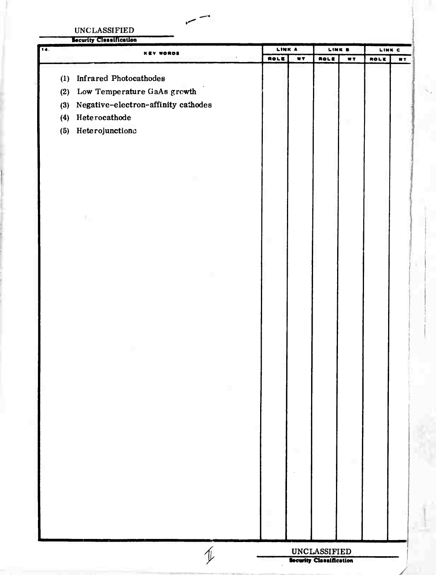**IINCLASSIFIED** 

 $\sim$ 

|     |     | <b>Security Cleanification</b>      |      |               |                         | LINK 9         | LINK C |    |
|-----|-----|-------------------------------------|------|---------------|-------------------------|----------------|--------|----|
| 14. |     | <b>KEY WORDS</b>                    | ROLE | LINK A<br>WT. |                         | $\overline{r}$ | ROLE   | WT |
|     |     |                                     |      |               | ROLE                    |                |        |    |
|     | (1) | <b>Infrared Photocathodes</b>       |      |               |                         |                |        |    |
|     | (2) | Low Temperature GaAs growth         |      |               |                         |                |        |    |
|     | (3) | Negative-electron-affinity cathodes |      |               |                         |                |        |    |
|     | (4) | Heterocathode                       |      |               |                         |                |        |    |
|     | (5) | Heterojunctions                     |      |               |                         |                |        |    |
|     |     |                                     |      |               |                         |                |        |    |
|     |     |                                     |      |               |                         |                |        |    |
|     |     |                                     |      |               |                         |                |        |    |
|     |     |                                     |      |               |                         |                |        |    |
|     |     |                                     |      |               |                         |                |        |    |
|     |     | t.                                  |      |               |                         |                |        |    |
|     |     |                                     |      |               |                         |                |        |    |
|     |     |                                     |      |               |                         |                |        |    |
|     |     |                                     |      |               |                         |                |        |    |
|     |     |                                     |      |               |                         |                |        |    |
|     |     |                                     |      |               |                         |                |        |    |
|     |     |                                     |      |               |                         |                |        |    |
|     |     |                                     |      |               |                         |                |        |    |
|     |     |                                     |      |               |                         |                |        |    |
|     |     |                                     |      |               |                         |                |        |    |
|     |     |                                     |      |               |                         |                |        |    |
|     |     |                                     |      |               |                         |                |        |    |
|     |     |                                     |      |               |                         |                |        |    |
|     |     |                                     |      |               |                         |                |        |    |
|     |     |                                     |      |               |                         |                |        |    |
|     |     |                                     |      |               |                         |                |        |    |
|     |     |                                     |      |               |                         |                |        |    |
|     |     |                                     |      |               |                         |                |        |    |
|     |     |                                     |      |               |                         |                |        |    |
|     |     |                                     |      |               |                         |                |        |    |
|     |     |                                     |      |               |                         |                |        |    |
|     |     |                                     |      |               |                         |                |        |    |
|     |     |                                     |      |               |                         |                |        |    |
|     |     |                                     |      |               |                         |                |        |    |
|     |     |                                     |      |               |                         |                |        |    |
|     |     |                                     |      |               |                         |                |        |    |
|     |     |                                     |      |               | <b>UNCLASSIFIED</b>     |                |        |    |
|     |     |                                     |      |               | Security Classification |                |        |    |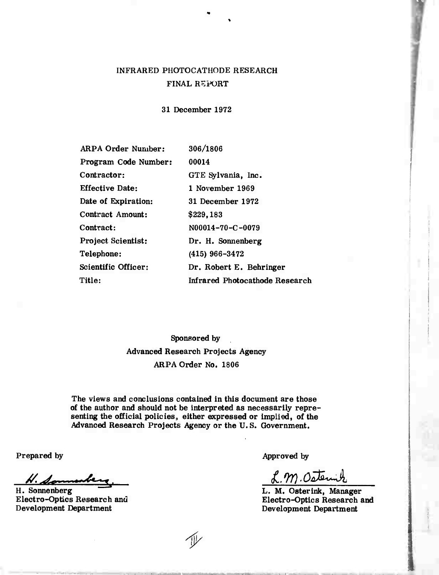# INFRARED PHOTOCATHODE RESEARCH FINAL REPORT

31 December 1972

| <b>ARPA Order Number:</b> | 306/1806                              |
|---------------------------|---------------------------------------|
| Program Code Number:      | 00014                                 |
| Contractor:               | GTE Sylvania, Inc.                    |
| <b>Effective Date:</b>    | 1 November 1969                       |
| Date of Expiration:       | 31 December 1972                      |
| Contract Amount:          | \$229,183                             |
| Contract:                 | N00014-70-C-0079                      |
| <b>Project Scientist:</b> | Dr. H. Sonnenberg                     |
| Telephone:                | $(415)$ 966-3472                      |
| Scientific Officer:       | Dr. Robert E. Behringer               |
| Title:                    | <b>Infrared Photocathode Research</b> |

Sponsored by Advanced Research Projects Agency ARPA Order No. 1806

The views and conclusions contained in this document are those of the author and should not be interpreted as necessarily representing the official policies, either expressed or implied, of the Advanced Research Projects Agency or the U. S. Government.

Prepared by

*//"4\*L>* **«.^-r. \_** H. Sonnenberg

Electro-Optics Research and Development Department

Approved by

 $2.99.0$ ste

L. M. Osterink, Manager Electro-Optics Research and Development Department

*i/*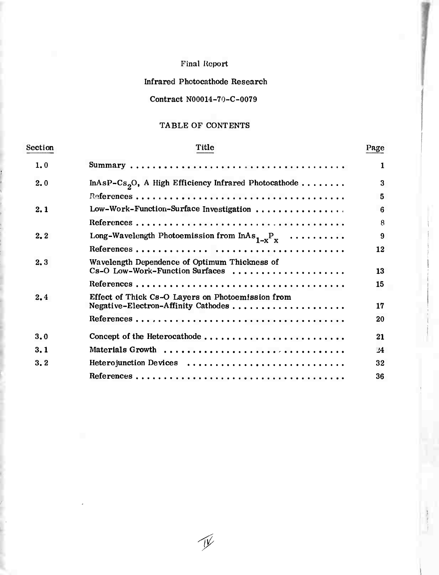# Final Report

# Infrared Photocathode Research

# Contract N00014-70-C-0079

# TABLE OF CONTENTS

| Section | Title                                                                            | Page          |
|---------|----------------------------------------------------------------------------------|---------------|
| 1,0     |                                                                                  | 1             |
| 2.0     | InAsP-Cs <sub>2</sub> O, A High Efficiency Infrared Photocathode                 | 3             |
|         |                                                                                  | 5             |
| 2.1     | Low-Work-Function-Surface Investigation                                          | 6             |
|         |                                                                                  | 8             |
| 2.2     | Long-Wavelength Photoemission from $InAs_{1-x}P_x \dots \dots \dots$             | 9             |
|         |                                                                                  | 12            |
| 2.3     | Wavelength Dependence of Optimum Thickness of<br>Cs-O Low-Work-Function Surfaces | 13            |
|         |                                                                                  | 15            |
| 2,4     | Effect of Thick Cs-O Layers on Photoemission from                                | 17            |
|         |                                                                                  | 20            |
| 3.0     | Concept of the Heterocathode                                                     | 21            |
| 3.1     | Materials Growth                                                                 | $\frac{1}{4}$ |
| 3.2     | Heterojunction Devices                                                           | 32            |
|         |                                                                                  | 36            |

*f*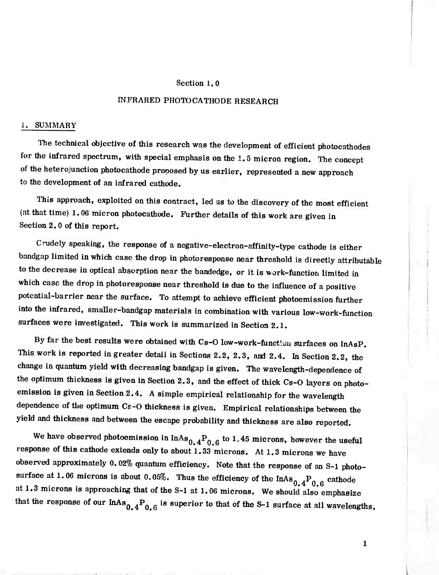#### Section 1.0

### INFRARED PHOTOCATHODE RESEARCH

#### 1. SUMMARY

The technical objective of this research was the development of efficient photocathodes for the infrared spectrum, with special emphasis on the 1.5 micron region. The concept of the heterojunction photocathode proposed by us earlier, represented a new approach to the development of an infrared cathode.

This approach, exploited on this contract, led us to the discovery of the most efficient (at that time) 1.06 micron photocathode. Further details of this work are given in Section 2.0 of this report.

Crudely speaking, the response of a negative-electron-affinity-type cathode is either bnndgap limited in which case the drop in photoresponse near threshold is directly attributable to the decrease in optical absorption near the bandedge, or it is work-function limited in which case the drop in photoresponse near threshold is due to the infiuence of a positive potential-barrier near the surface. To attempt to achieve efficient photoemission further into the infrared, smaller-bandgap materials in combination with various low-work-function surfaces were investigated. This work is summarized in Section 2.1.

By far the best results were obtained with Cs-O low-work-functiou surfaces on InAsP. This work is reported in greater detail in Sections 2.2, 2.3, and 2.4. In Section 2.2, the change in quantum yield with decreasing bandgap is given. The wavelength-dependence of the optimum thickness is given in Section 2.3, and the effect of thick Cs-O layers on photoemission is given in Section 2.4. <sup>A</sup> simple empirical relationship for the wavelength dependence of the optimum Cs-O thickness is given. Empirical relationships between the yield and thickness and between the escape probability and thickness are also reported.

We have observed photoemission in  $InAs_{0,4}P_{0,6}$  to  $1.45$  microns, however the useful response of this cathode extends only to about 1.33 microns. At 1.3 microns we have observed approximately 0.02% quantum efficiency. Note that the response of an S-l photosurface at 1.06 microns is about 0.05%. Thus the efficiency of the  $InAs_{0.4}P_{0.6}$  cathode at 1.3 microns is approaching that of the S-l at 1.06 microns. We should also emphasize that the response of our  $InAs^{0}_{0.4}P_{0.6}$  is superior to that of the S-1 surface at all wavelengths,

 $\mathbf{1}$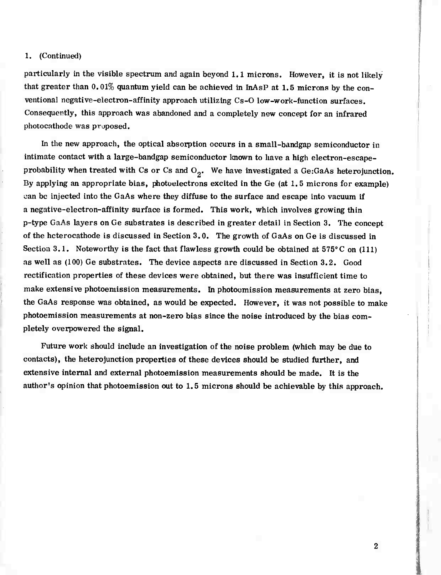#### 1. (Continued)

particularly in the visible spectrum and again beyond 1.1 microns. However, it is not likely that greater than 0.01% quantum yield can be achieved in InAsP at 1.5 microns by the conventional negative-electron-affinity approach utilizing Cs-O low-work-function surfaces. Consequently, this approach was abandoned and a completely new concept for an infrared photocathode was proposed.

In the new approach, the optical absorption occurs in a small-bandgap semiconductor in intimate contact with a large-bandgap semiconductor known to have a high electron-escapeprobability when treated with Cs or Cs and  $O_2$ . We have investigated a Ge:GaAs heterojunction. By applying an appropriate bias, photoelectrons excited in the Ge (at 1.5 microns for example) *can* be injected into the GaAs where they diffuse to the surface and escape into vacuum if a negative-electron-affinity surface is formed. This work, which involves growing thin p-type GaAs layers on Ge substrates is described in greater detail in Section 3. The concept of the heterocathode is discussed in Section 3.0. The growth of GaAs on Ge is discussed in Section 3.1. Noteworthy is the fact that flawless growth could be obtained at  $575^{\circ}$ C on (111) as well as (100) Ge substrates. The device aspects are discussed in Section 3.2. Good rectification properties of these devices were obtained, but there was insufficient time to make extensive photoemission measurements. In photoomission measurements at zero bias, the GaAs response was obtained, as would be expected. However, it was not possible to make photoemission measurements at non-zero bias since the noise introduced by the bias completely overpowered the signal.

Future work should include an investigation of the noise problem (which may be due to contacts), the heterojunction properties of these devices should be studied further, and extensive internal and external photoemission measurements should be made. It is the author's opinion that photoemission out to 1.5 microns should be achievable by this approach.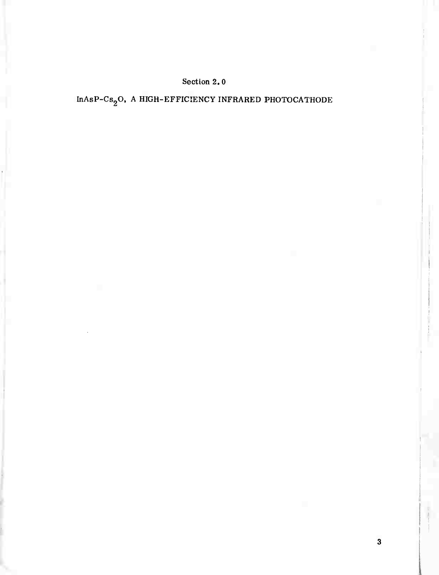# Section 2. 0

 ${\tt InAsP{\text{-}}Cs}_2{\rm O},$  A HIGH-EFFICIENCY INFRARED PHOTOCATHODE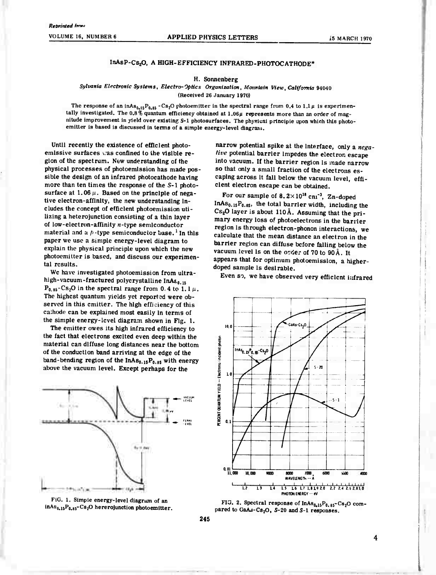#### $InAsP-Cs_2O$ , A HIGH-EFFICIENCY INFRARED-PHOTOCATHODE\*

#### **H. Sonnenberg**

#### *Sylvania Electronic Systems, Electro-Optics Organization, Mountain View, California* **94040 (Received 26 January 1970)**

The response of an inAs<sub>0.15</sub>P<sub>0.85</sub> - Cs<sub>2</sub>O photoemitter in the spectral range from 0.4 to 1.1  $\mu$  is experimen**tally investigated. The 0.8% quantum efficiency obtained at** *1.06ß* **represents more than an order of magnitude improvement in yield over existing S-l photosurfaces. The physical principle upon which this photoemitter is based is discussed in terms of a simple energy-level dlagrain.**

**Until recently the existence of efficient photoemissive surfaces , as confined to the visible region of the spectrum. New understanding of the physical processes of photoemission has made possible the design of an infrared photocathode having more than ten times the response of the S-l photo**surface at  $1.06 \mu$ . Based on the principle of nega**tive electron-affinity, the new understanding includes the concept of efficient photoemission utilizing a heterojunction consisting of a thin layer of low-electron-affinity «-type semiconductor material and a />-type semiconductor base.' In this paper we use a simple energy-level diagram to explain the physical principle upon which the new photoemitter is based, and discuss our experimental results.**

**We have investigated photoemission from ultrahigh-vacuum-fractured polycrystalline InAto.,5**  $P_{0.95} - Cs_2O$  in the spectral range from  $0.4$  to  $1.1 \mu$ . **The highest quantum yields yet reported were observed in this emitter. The high efficiency of this caihode can be explained most easily in terms of the simple energy-level diagram shown in Fig. 1.**

**The emitter owes its high infrared efficiency to the fact that electrons excited even deep within the material can diffuse long distances near the bottom of the conduction band arriving at the edge of the band-bending region of the InA80.,sP0.<sup>M</sup> with energy above the vacuum level. Except perhaps for the**



**FIG. 1. Simple energy-level diagram of an**  $\ln A_{80,15}P_{0.85}C_{82}$  hererojunction photoemitter.

**narrow potential spike at the interface, only a** *negative* **potential barrier impedes the electron escape into vacuum. If the barrier region is made narrow so that only a small fraction of the electrons escaping across it fall below the vacuum level, efficient electron escape can be obtained.**

**For our sample of 8.2x 10" cm"<sup>3</sup> , Zn-doped**  $InAs<sub>0.15</sub>P<sub>0.85</sub>$ , the total barrier width, including the **Cs20 layer is about 110Ä. Assuming that the primary energy loss of photoelectrone in the barrier region is through electron-phonon interactions, we calculate that the mean distance an electron in the barrier region can diffuse before falling below the** vacuum level is on the order of 70 to 90 Å. It **appears that for optimum photoemission, a higherdoped sample is desirable.**

**Even so, we have observed very efficient infrared**





**245**

4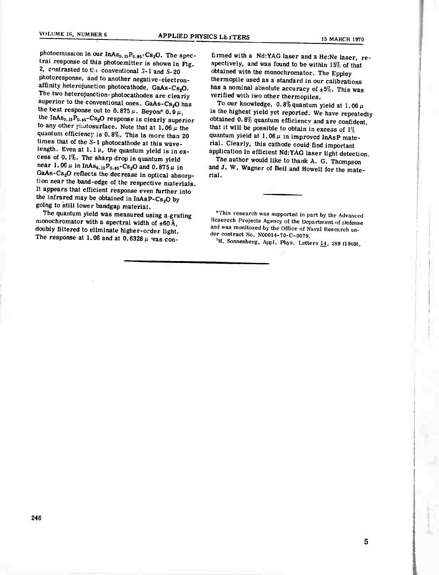**photoemission in our InASo.,5Po.,5-C820. The spectral response of this photoemitter is shown in Fig. 2, contrasted to Uif conventional .5-1 and S-20 photoresponse, and to another negative-electronaffinity heterojunction photocathode, GaAs-Cs20. The two heterojunction-photocathodes are clearly superior to the conventional ones. GaAs-Cs20 has** the best response out to  $0.875 \mu$ . Beyond  $0.9 \mu$ , **the InAso.jjPo <sup>85</sup>-Cs20 response is clearly superior**  $\tan y$  other *plastosurface*. Note that at  $1.06 \mu$  the **quantum efficiency is 0.8%. This is more than 20 times that of the S-l photocathode at this waveiength.** Even at  $1.1 \mu$ , the quantum yield is in ex**cess of 0,1%. The sharp drop in quantum yield**  $n$ **ear 1.06**  $\mu$  **in**  $\text{InAs}_{0.15}P_{0.85} - \text{Cs}_{2}\text{O}$  and  $0.875\,\mu$  **in GaAs-Cs20 reflects the decrease in optical absorption near the band-edge of the respective materials. It appears that efficient response even further into the infrared may be obtained in InAsP-Cs20 by going to still lower bandgap material.**

**The quantum yield was measured using a.grating monochromator with a spectral width of ±60Ä, doubly filtered to eliminate higher-o.-der light.** The response at 1.06 and at 0.6328  $\mu$  vas con**firmed with a Nd:YAG laser and a He:Ne laser, respectively, and was found to be within 15% of that obtained witn the monochromator. The Eppley thermopile used as a standard in our calibrations has a nominal absolute accuracy of ±5%. This was verified with two other thermopiles.**

To our knowledge,  $0.8\%$  quantum yield at  $1.06 \mu$ **is the highest yield yet reported. We have repeatedly obtained 0.8% quantum efficiency and are confident, that it will be possible to obtain in excess of 1%** quantum yield at  $1.06 \mu$  in improved InAsP mate**rial. Clearly, this cathode could find important application in efficient NdrYAG laser light detection.**

**The author would like to thank A. G. Thompson and J. W. Wagner of Bell and Howell for the material.**

•This research was supported in part by the Advanced Research Projects Agency of the Department of Defense and was monitored by the Office of Naval Research under contract No. N00014-70-C-0079.

<sup>1</sup>H. Sonnenberg, Appl. Phys. Letters  $\underline{14}$ , 289 (1969).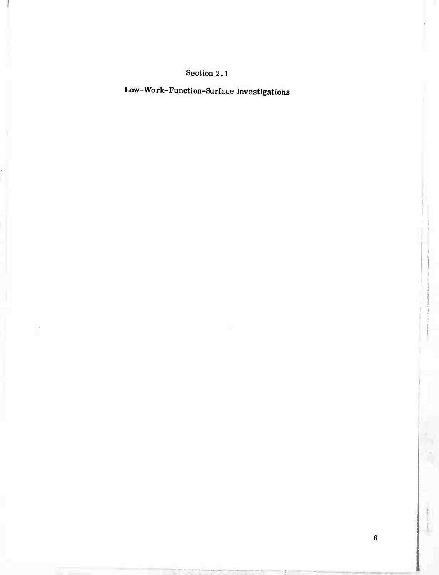# Section 2.1

Low-Work-Function-Surface Investigations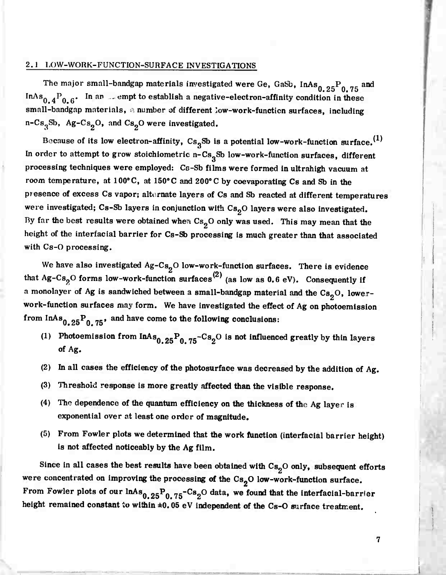#### 2.1 LOW-WORK-FUNCTIQN-SURFACE INVESTIGATIONS

The major small-bandgap materials investigated were Ge, GaSb, InAs<sub>0.25</sub><sup>P</sup><sub>0.75</sub> and InAs<sub>0.4</sub>P<sub>0.6</sub>. In an sempt to establish a negative-electron-affinity condition in these small-bandgap materials, a number of different low-work-function surfaces, including n-Cs<sub>3</sub>Sb, Ag-Cs<sub>2</sub>O, and Cs<sub>2</sub>O were investigated.

Because of its low electron-affinity,  $Cs<sub>3</sub>Sb$  is a potential low-work-function surface.<sup>(1)</sup> In order to attempt to grow stoichiometric n-Cs<sub>3</sub>Sb low-work-function surfaces, different processing techniques were employed: Cs-Sb films were formed in ultrahigh vacuum at room temperature, at 100°C, at 150°C and 200°C by coevaporating Cs and Sb in the presence of excess Cs vapor; alternate layers of Cs and Sb reacted at different temperatures were investigated; Cs-Sb layers in conjunction with Cs<sub>2</sub>O layers were also investigated. By far the best results were obtained when  $Cs<sub>2</sub>O$  only was used. This may mean that the height of the intertacial barrier for Cs-Sb processing is much greater than that associated with Cs-O processing.

We have also investigated  $Ag-Cs_2O$  low-work-function surfaces. There is evidence that Ag-Cs<sub>2</sub>O forms low-work-function surfaces<sup>(2)</sup> (as low as 0.6 eV). Consequently if a monolayer of Ag is sandwiched between a small-bandgap material and the  $Cs<sub>2</sub>O$ , lowerwork-function surfaces may form. We have investigated the effect of Ag on photoemission from  $InAs_{0.25}P_{0.75}$ , and have come to the following conclusions:

- (1) Photoemission from  $InAs_{0.25}P_{0.75}-Cs_{2}O$  is not influenced greatly by thin layers of Ag.
- (2) In all cases the efficiency of the photosurface was decreased by the addition of Ag.
- (3) Threshold response is more greatly affected than the visible response.
- (4) The dependence of the quantum efficiency on the thickness of the Ag layer is exponential over at least one order of magnitude.
- (5) From Fowler plots we determined that the work function (interfacial barrier height) is not affected noticeably by the Ag film.

Since in all cases the best results have been obtained with  $Cs_2O$  only, subsequent efforts were concentrated on improving the processing of the  $Cs_2O$  low-work-function surface. From Fowler plots of our lnAs<sub>0.25</sub>P<sub>0.75</sub>-Cs<sub>2</sub>O data,  $Cs<sub>2</sub>O$  low-work-function surface.<br>we found that the interfacial-barrier height remained constant to within  $\pm 0.05$  eV independent of the Cs-O surface treatment.

";-"•—:

 $\overline{7}$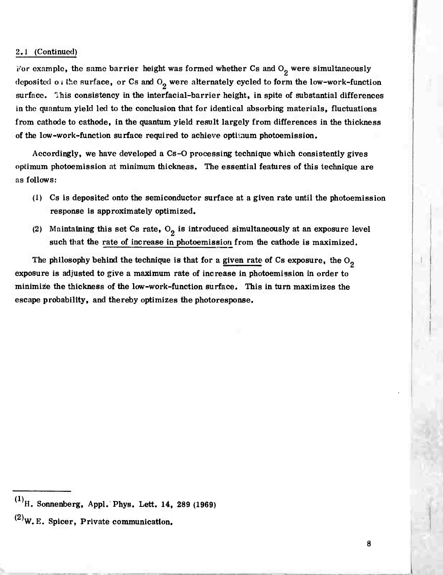#### 2.J (Continued)

For example, the same barrier height was formed whether Cs and  $O_2$  were simultaneously deposited o i the surface, or Cs and  $O_2$  were alternately cycled to form the low-work-function surface. This consistency in the interfacial-barrier height, in spite of substantial differences in the quantum yield led to the conclusion that for identical absorbing materials, fluctuations from cathode to cathode, in the quantum yield result largely from differences in the thickness of the low-work-function surface required to achieve optimum photoemission.

Accordingly, we have developed a Cs-0 processing technique which consistently gives optimum photoemission at minimum thickness. The essential features of this technique are as follows:

- (1) Cs is deposited onto the semiconductor surface at a given rate until the photoemission response is approximately optimized.
- (2) Maintaining this set Cs rate,  $O_2$  is introduced simultaneously at an exposure level such that the rate of increase in photoemission from the cathode is maximized.

The philosophy behind the technique is that for a given rate of Cs exposure, the  $O_2$ exposure is adjusted to give a maximum rate of increase in photoemission in order to minimize the thickness of the low-work-function surface. This in turn maximizes the escape probability, and thereby optimizes the photoresponse.

 $^{(1)}$ H. Sonnenberg, Appl. Phys. Lett. 14, 289 (1969)

 $^{(2)}$ W.E. Spicer, Private communication.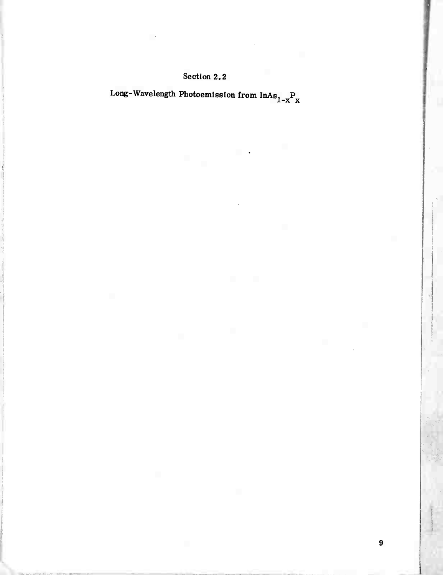# Section 2.2

Long-Wavelength Photoemission from  $\mathrm{InAs}_{1-x}\mathrm{P}_{\mathrm{X}}$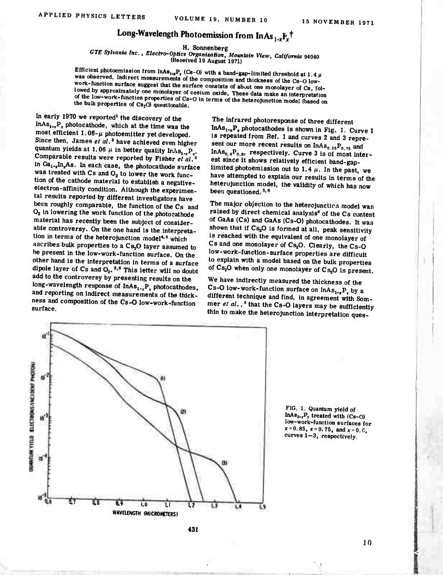# Long-Wavelength Photoemission from InAs  ${}_{i\cdot x}F_{x}^{\dagger}$

H. Sonnenberg

GTE Sylvania Inc., Electro-Optics Organization, Mountain View, California 94040

(Received 19 August 1971)

Efficient photoemission from  $InAs_{1-x}P_x$  (Cs-O) with a band-gap-limited threshold at 1.4  $\mu$ was observed. Indirect measurements of the composition and thickness of the Cs-O lowwork-function surface suggest that the surface consists of about one monolayer of Cs, followed by approximately one monolayer of cesium oxide. These data make an interpretation of the low-work-function properties of Cs-O in terms of the heterojunction model (based on the bulk properties of Cs<sub>2</sub>O) questionable.

In early 1970 we reported<sup>1</sup> the discovery of the  $InAs_{1-x}P_x$  photocathode, which at the time was the most efficient  $1.06 - \mu$  photoemitter yet developed. Since then, James et al.<sup>2</sup> have achieved even higher quantum yields at 1.06  $\mu$  in better quality InAs<sub>1-x</sub>P<sub>x</sub>.<br>Comparable results were reported by Fisher et al.<sup>3</sup> in Ga<sub>1-x</sub>In<sub>x</sub>As. In each case, the photocathode surface was treated with Cs and O<sub>2</sub> to iower the work function of the cathode material to establish a negativeelectron-affinity condition. Although the experimental resuits reported by different investigators have been roughly comparabie, the function of the Cs and O<sub>2</sub> in lowering the work function of the photocathode material has recently been the subject of considerabie controversy. On the one hand is the interpretation in terms of the heterojunction model<sup>4,5</sup> which ascribes bulk properties to a Cs<sub>2</sub>O iayer assumed to be present in the low-work-function surface. On the other hand is the interpretation in terms of a surface dipoie iayer of  $Cs$  and  $O_2$ ,  $3,6$  This ietter will no doubt add to the controversy by presenting results on the long-wavelength response of InAs<sub>1-x</sub>P<sub>x</sub> photocathodes, and reporting on indirect measurements of the thickness and composition of the Cs-O low-work-function surface.

The infrared photoresponse of three different.  $InAs_{1-x}P_x$  photocathodes is shown in Fig. 1. Curve 1 is repeated from Ref. 1 and curves 2 and 3 represent our more recent results on  $InAs_{0.25}P_{0.75}$  and In As<sub>0.4</sub>P<sub>0.6</sub>, respectively. Curve 3 is of most interest since it shows relatively efficient band-gapiimited photoemission out to 1.4  $\mu$ . In the past, we have attempted to expiain our resuits in terms of the heterojunction modei, the vaiidity of which has now been questioned.<sup>3,6</sup>

The major objection to the heterojunction modei was raised by direct chemical analysis<sup>6</sup> of the Cs content of GaAs (Cs) and GaAs (Cs-O) photocathodes. It was shown that if Cs<sub>2</sub>O is formed at ali, peak sensitivity is reached with the equivalent of one monoiayer of Cs and one monoiayer of Cs<sub>2</sub>O. Clearly, the Cs-O low-work-function-surface properties are difficuit to explain with a model based on the buik properties of  $Cs_2O$  when only one monolayer of  $Cs_2O$  is present.

We have indirectly measured the thickness of the Cs-O iow-work-function surface on  $InAs_{1-x}P_x$  by a different technique and find, in agreement with Sommer et al.,<sup>6</sup> that the Cs-O layers may be sufficiently thin to make the heterojunction interpretation ques-



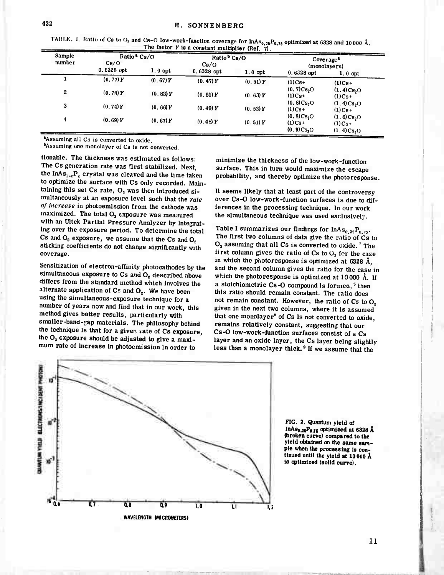TABUE. 1. Ratio of *Cs* to  $O_2$  and *Cs*-O low-work-function coverage for  $\text{inAs}_{0.25}P_{0.75}$  optimized at 6328 and 10000 Å. The factor Y is a constant multiplier  $(Ref. 7)$ .

| <b>Sample</b><br>number | Ratio $Cs/O$<br>Cs/O |           | Ratio <sup>b</sup> Cs/O<br>Cs/O |           | Coverage <sup>b</sup><br>(monolayers)            |                                                              |  |
|-------------------------|----------------------|-----------|---------------------------------|-----------|--------------------------------------------------|--------------------------------------------------------------|--|
|                         | $0.6328$ opt         | $1,0$ opt | $0.6328$ opt                    | $1.0$ opt | $0.6328$ opt                                     | $1.0$ opt                                                    |  |
|                         | (0.77)Y              | (0.67)Y   | (0.47)Y                         | (0.51)Y   | $(1)Cs+$                                         | $(1)Cs+$                                                     |  |
| 2                       | (0.78)Y              | (0.82)Y   | (0, 51) Y                       | (0.63)Y   | (0.7)Cs <sub>2</sub> O<br>$(1)C_{S^+}$           | (1.4)Cs <sub>2</sub> O<br>$(1)C8+$                           |  |
| 3                       | (0.74)Y              | (0.66)Y   | (0.49)Y                         | (0, 52)Y  | (0, 8)Cs <sub>2</sub> O<br>$(1)$ Cs+             | $(1.4)C_{8,0}$<br>$(1)Cs+$                                   |  |
| 4                       | (0.69)Y              | (0.67)Y   | (0.48)Y                         | (0.51)Y   | (0.8)Cs <sub>2</sub> O<br>$(1)Cs+$<br>(0.9)Cs, O | (1.6)Cs <sub>2</sub> O<br>$(1)Cs+$<br>(1.4)Cs <sub>2</sub> O |  |

'Assuming all Cs is converted to oxide.

bAssuming one monolayer of Cs is not converted.

tlonable. The thickness was estimated as follows: The Cs generation rate was first stabilized. Next, the InAs<sub>1-x</sub>P<sub>r</sub> crystal was cleaved and the time taken to optimize the surface with Cs only recorded. Maintaining this set Cs rate,  $O<sub>2</sub>$  was then introduced simultaneously at an exposure level such that the *rale of increase* in photoemission from the cathode was maximized. The total  $O<sub>2</sub>$  exposure was measured with an Ultek Partial Pressure Analyzer by integrating over the exposure period. To determine the total Cs and  $O_2$  exposure, we assume that the Cs and  $O_2$ sticking coefficients do not change significantly with coverage.

Sensitization of electron-affinity photocathodes by the simultaneous exposure to  $Cs$  and  $O<sub>2</sub>$  described above differs from the standard method which involves the alternate application of  $Cs$  and  $O<sub>2</sub>$ . We have been using the simultaneous-exposure technique for a number of years now and find that in our work, this method gives better results, particularly with smaller-band-gap materials. The philosophy behind the technique is that for a given rate of Cs exposure, the  $O_2$  exposure should be adjusted to give a maximum rate of increase In photoemission in order to

minimize the thickness of the low-work-function surface. This in turn would maximize the escape probability, and thereby optimize the photoresponse.

It seems likely that at least part of the controversy over Cs-0 low-work-function surfaces is due to differences in the processing technique. In our work the simultaneous technique was used exclusivelj.

Table I summarizes our findings for  $InAs_{0.25}P_{0.75}$ . The first two columns of data give the ratio of Cs to  $O<sub>2</sub>$  assuming that all Cs is converted to oxide.<sup>7</sup> The first column gives the ratio of Cs to  $O<sub>2</sub>$  for the case in which the photoresponse is optimized at 6328 Ä, and the second column gives the ratio for the case in which the photoresponse is optimized at 10000 Ä. If a stoichiometric  $Cs - O$  compound is formed,<sup>5</sup> then this ratio should remain constant. The ratio does not remain constant. However, the ratio of  $Cs$  to  $O<sub>2</sub>$ given in the next two columns, where it is assumed that one monolayer<sup>8</sup> of Cs is not converted to oxide, remains relatively constant, suggesting that our Cs-O low-work-function surfaces consist of a Cs layer and an oxide layer, the Cs layer being slightly less than a monolayer thick.<sup>9</sup> If we assume that the



**FIG. 2. Quantum yield of** InA $s_{0.25}P_{0.15}$  optimized at  $6328$  Å **(broken curve) compared to the yield obtained on the same sample when the processing** is **continued until the yield at 10000 A is optimized (solid curve).**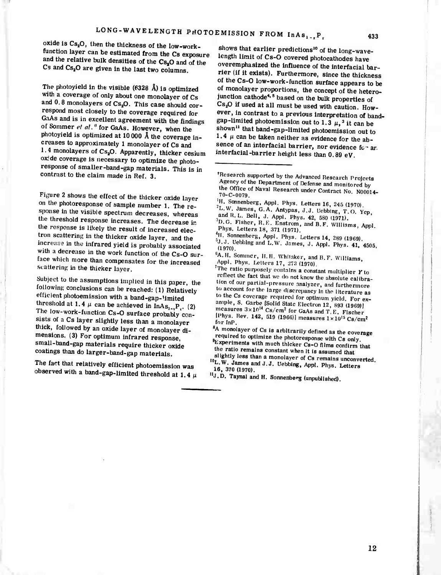**433**

oxide is  $Cs<sub>2</sub>O$ , then the thickness of the low-workfunction layer can be estimated from the Cs exposure and the relative bulk densities of the  $Cs<sub>3</sub>O$  and of the Cs and Cs<sub>2</sub>O are given in the last two columns.

The photoyield in the visible  $(6328 \text{ Å})$  is optimized with a coverage of only about one monolayer of Cs and  $0.8$  monolayers of Cs<sub>2</sub>O. This case should correspond most closely to the coverage required for GaAs and is in excellent agreement with the findings of Sommer *el al.*" for GaAs. However, when the photoyield is optimized at 10000 Ä the coverage increases to approximately <sup>1</sup> monolayer of Cs and 1.4 monolayers of Cs<sub>2</sub>O. Apparently, thicker cesium ox:de coverage is necessary to optimize the photoresponse of smaller-band-gap materials. This is in contrast to the claim made in Ref. 3.

Figure 2 shows the effect of the thicker oxide layer on the photoresponse of sample number 1. The response in the visible spectrum decreases, whereas the threshold response increases. The decrease in the response is likely the result of increased electron scattering in the thicker oxide layer, and the increase in the infrared yield is probably associated with a decrease in the work function of the Cs-O surface which more than compensates for the increased scattering in the thicker layer.

Subject to the assumptions implied in this paper, the following conclusions can be reached: (1) Relatively efficient photoemission with a band-gap-'imited threshold at 1.4  $\mu$  can be achieved in InAs<sub>1-x</sub>P<sub>x</sub>. (2) The low-work-function Cs-O surface probably consists of *<sup>a</sup>* Cs layer slightly less than a monolayer thick, followed by an oxide layer of monolayer dimensions. (3) For optimum infrared response, small-band-gap materials require thicker oxide coatings than do larger-band-gap materials.

The fact that relatively efficient photoemission was observed with a band-gap-limited threshold at 1.4  $\mu$ 

shows that earlier predictions<sup>10</sup> of the long-wavelength limit of Cs-O covered photocathodes have overemphasized the influence of the interfacial barrier (if it exists). Furthermore, since the thickness of the Cs-O low-work-function surface appears to be of monolayer proportions, the concept of the heterojunctlon cathode\*-<sup>5</sup> based on the bulk properties of Cs20 if used at all must be used with caution. However, in contrast to a previous interpretation of bandgap-limited photoemission out to  $1.3 \mu$ ,<sup>3</sup> it can be shown<sup>11</sup> that band-gap-limited photoemission out to 1.4  $\mu$  can be taken neither as evidence for the absence of an interfacial barrier, nor evidence for ar. interfacial-barrier height less than 0.89 eV.

- $H$ . Sonnenberg, Appl. Phys. Letters 16, 245 (1970).
- <sup>2</sup>L.W. James, G.A. Antypas, J.J. Uebbing, T.O. Yep,
- and R. L. Bell, J. Appl. Phys. 42, 580 (1971).
- B.G. Fisher, R.E. Enstrom, and B.F. Williams, Appl. Phys. Letters 18, 371 (1971).
- <sup>4</sup>H. Sonnenberg, Appl. Phys. Letters 14, 289 (1969).

<sup>6</sup>A.H. Sommer, II.H. Whitaker, and B.F. Williams Appl. Phys. Letters 17, 273 (1970).

The ratio purposely contains a constant multiplier  $Y$  to reflect the fact that we do not know the absolute calibration of our partial-pressure analyzer, and furthermore to account for the large discrepancy in the literature as to the Cs coverage required for optimum yield. For example, S. Garbe [Solid State Electron 12, 893 (1969)] measures  $3 \times 10^{14}$  Cs/cm<sup>2</sup> for GaAs and T.E. Fischer  $\rm [Phys. \; Rev. \; 142, \; 519 \; (1966)] \; measures \; 1 \times 10^{15} \; Cs/cm^2$ for InP.

<sup>8</sup>A monolayer of Cs is arbitrarily defined as the coverage required to optimize the photoresponse with Cs only. Experiments with much thicker Cs-O films confirm that the ratio remains constant when it is assumed that slightly less than a monolayer of Cs remains unconverted.

**"J.D. Taynai and H.** Sonnenberg (unpublished).

Research supported by the Advanced Research Projects Agency of the Department of Defense and monitored by the Office of Naval Research under Contract No. N00014-

 $(1970)$ .<br> $(1970)$ .

L.W. James and J.J. Uebbing, Appl. Phys. Letters<br>16, 370 (1970).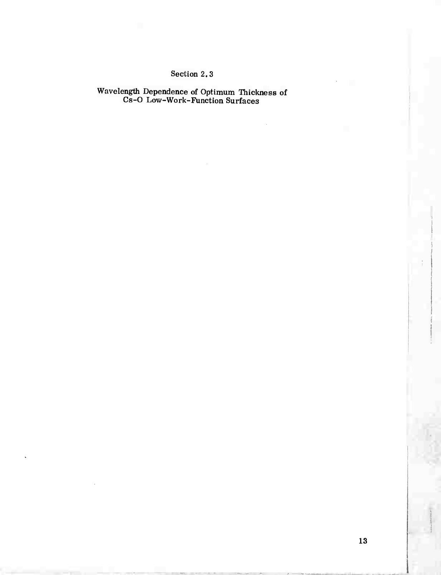# Section 2.3

Wavelength Dependence of Optimum Thickness of Cs-O Low-Work-Function Surfaces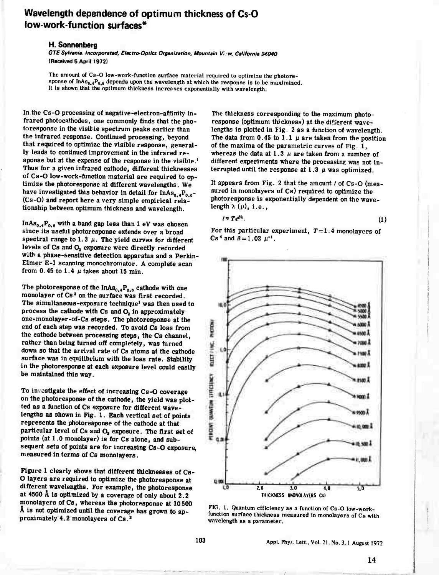# **Wavelength dependence of optimum thickness of Cs-0 low-work-function surfaces\***

#### **H. Sonnenberg**

*GTESylvani», Incorporated, Electro-Optics Organization. Mountain View, California 94040* **(Received 5 April 1972)**

**The amount of Cs-O low-work-function surface material required to optimize the photoresponse of InA8MP0-6 depends upon the wavelength at which the response is to be maximized. It is shown that the optimum thickness Increases exponentially with wavelength.**

**In the Cs-O processing of negative-electron-affinity infrared photocnthodes, one commonly finds that the photoresponse in the visitle spectrum peaks earlier than the infrared response. Continued processing, beyond that required to optimize the visible response, generally leads to continued improvement in the infrared response but at the expense of the response in the visible.<sup>1</sup> Thus for a given infrared cathode, different thicknesses of Cs-O low-work-function material are required to optimize the photoresponse at different wavelengths. We have investigated this behavior in detail for InAs<sup>0</sup> ,,P<sup>0</sup> <sup>6</sup>- (Cs-O) and report here a very simple empirical relationship between optimum thickness and wavelength.**

**InAso.4P o.« with <sup>a</sup> b an<sup>d</sup> gap less than <sup>1</sup> eV was chosen since its useful photoresponse extends over a broad spectral range** to 1.3  $\mu$ . The yield curves for different **levels of Cs and O^ exposure were directly recorded with a phase-sensitive detection apparatus and a Perkin-Eln.er E-l scanning monochromator. A complete scan from**  $0.45$  **to**  $1.4 \mu$  **takes** about 15 min.

**The photoresponse of the InAs<sup>0</sup> .,P0#(1 cathode with one monolayer of Cs<sup>a</sup> on the surface was first recorded. The simultaneous-exposure technique<sup>1</sup> was then used to process the cathode with Cs and O<sup>a</sup> in approximately oue-monolayer-of-Cs steps. The photoresponse at the end of each step was recorded. To avoid Cs loss from the cathode between processing steps, the Cs channel, rather than being turned off completely, was turned down so that the arrival rate of Cs atoms at the cathode surface was in equilibrium with the loss rate. Stability in the photoresponse at each exposure level could easily be maintained this way.**

**To investigate the effect of increasing Cs-O coverage on the photoresponse of the cathode, the yield was plotted as a (unction of Cs exposure for different wavelengths as shown in Fig. 1. Each vertical set of points represents the photoresponse of the cathode at that particular level of Cs and O, exposure. The first set of points (at 1.0 monolayer) is for Cs alone, and subsequent sets of points are for Increasing Cs-O exposure, measured in terms of Cs monolayers.**

**Figure <sup>1</sup> clearly shows that different thicknesses of Cs-O layers are required to optimize the photoresponse at different wavelengths. For example, the photoresponse at 4500** *k* **is optimized by a coverage of only about 2.2 monolayers of Cs, whereas the photoresponse at 10500 A is not optimized until the coverage has grown to ap-proximately 4.2 monolayers of Cs.,**

**The thickness corresponding to the maximum photoresponse (optimum thickness) at the difrerent wavelengths is plotted in fig. <sup>2</sup> as a function of wavelength.** The data from  $0.45$  to  $1.1 \mu$  are taken from the position **of the maxima of the parametric curves of Fig. 1, whereas** the data at  $1.3 \mu$  are taken from a number of **different experiments where the processing was not interrupted** until the response at  $1.3 \mu$  was optimized.

**It appears from Fig. 2 that the amount / of Cs-O (measured in monolayers of Cs) required to optimize the photoresponse is exponentially dependent on the wave**length  $\lambda$   $(\mu)$ , i.e.,

$$
t \approx Te^{\beta \lambda}.\tag{1}
$$

For this particular experiment,  $T=1.4$  monolayers of  $\cos^4$  and  $\beta = 1.02$   $\mu^{-1}$ .



**FIG. 1. Quantum efficiency as a function of Cs-O low-workfunction surface thickness measured in monolayers of Cs with wavelength as a parameter.**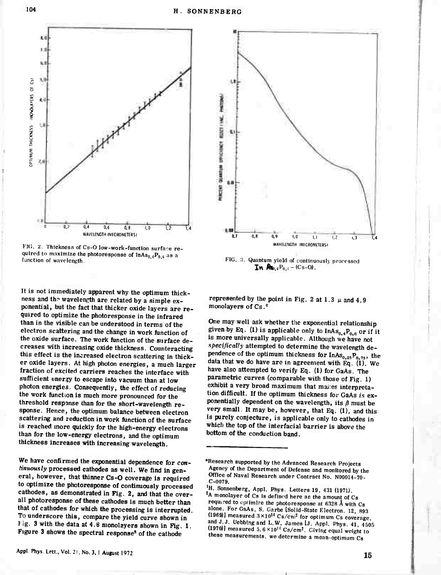



*VIC. Z.* **Thickness of Cs-0 low-work-function surface required** to maximize the photoresponse of  $\text{InAs}_{0.4}P_{0.6}$  as a **function of wavelength.**

**It is not immediately apparent why the optimum thickness and the wavelength are related by a simple exponential, but the fact that thicker oxide layers are required to optimize the photoresponse in the infrared than in the visible can be understood in terms of the electron scattering and the change in work function of the oxide surface. The work function of the surface decreases with increasing oxide thickness. Counteracting this effect is the increased electron scattering in thicker oxide layers. At high photon energies, a much larger fraction of excited carriers reaches the interface with sufficient energy to escape into vacuum than at low photon energies. Consequently, the effect of reducing the work function is much more pronounced for the threshold response than for the short-wavelength response. Hence, the optimum balance between electron scattering and reduction in work function of the surface is reached more quickly for the high-energy electrons than for the low-energy electrons, and the optimum thickness increases with increasing wavelength.**

**We have confirmed the exponential dependence for** *continuously* **processed cathodes as well. We find in general, however, that thinner Cs-O coverage is required to optimize the photoresponse of continuously processed cathodes, as demonstrated in Fig. 2, and that the overall photoresponse of these cathodes is much better than that of cathodes for which the processing is interrupted. To underscore this, compare the yield curve shown in Fig. 3 with the data at 4.Ö monolayers shown in Fig. 1. Figure 3 shows the spectral response' of the cathode**



**FIG. 3. Quantum yield of continuously processed In**  $\mathbf{R}_{0,4} \mathbf{P}_{0,6} - (\mathbf{Cs}-\mathbf{O})$ .

**represented** by the point in Fig. 2 at 1.3  $\mu$  and 4.9 **monolayers of Cs.<sup>6</sup>**

**One may well ask whether the exponential relationship given** by Eq. (1) is applicable only to  $InAs_{0.4}P_{0.6}$  or if it is more universally applicable. Although we have not *specifically* **attempted to determine the wavelength dependence of the optimum thickness for InAs,, <sup>25</sup>P<sup>0</sup> <sup>75</sup>, the data that we do have are in agreement with Eq. (1), We have also attempted to verify Eq. (1) for GaAs. The parametric curves (comparable with those of Fig. 1) exhibit a very broad maximum that mares interpretation difficult. If the optimum thickness for GaAs** *Is* **exponentially** dependent on the wavelength, its  $\beta$  must be **very small It may be, however, that Eq. (1), and this is purely conjecture, is applicable only to cathodes in which the top of the interfacial barrier is above the bottom of the conduction band.**

**Research supported by the Advanced Research Projects Agency of the Department of Defense and monitored by the Office of Naval Research under Contract No. N00014-70- C-0079.**

**<sup>&#</sup>x27;H. Sonnenberg, Appl. Phys. Letters 19, 431 (1971). A monolayer of Cs is defined here as the amount of Cs required to opttmtze the photoresponse at 6328 Ä with Cs alone. For GaAs, S. Garbe [Solid-State Electron 12 893**  $(1969)$  measured  $3 \times 10^{14}$  Cs/cm<sup>2</sup> for optimum Cs coverage **and J J. Uebbingand L.W. James [J. Appl. Phys. 41 4505**  $(1970)$  measured  $5.6 \times 10^{14}$  Cs/cm<sup>2</sup>. Giving equal weight to **these measurements, we determine a mean-optimum Cs**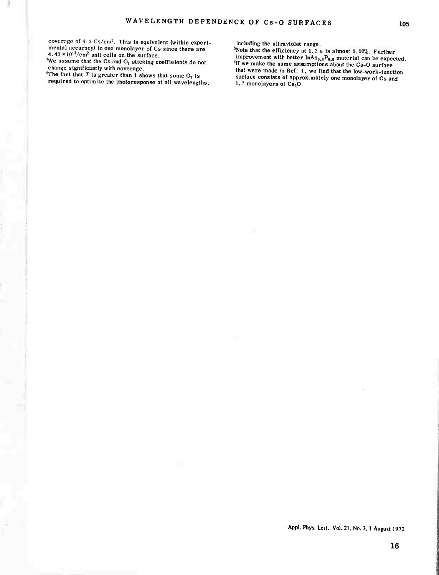coverage of  $4.3 \text{ Cs/cm}^2$ . This is equivalent (within experimental accuracy) to one monolayer of Cs since there are  $4.43 \times 10^{14}/\text{cm}^2$  unit cells on the surface.

 $\frac{1}{2}$  We assume that the Cs and O<sub>2</sub> sticking coefficients do not change significantly with coverage.

 $4<sup>th</sup>$ The fact that *T* is greater than 1 shows that some  $O<sub>2</sub>$  is required to optimize the photoresponse at all wavelengths, including the ultraviolet range.

 $5N$ ote that the efficiency at 1.3  $\mu$  is almost 0.02%. Further improvement with better  $InAs_{0,4}P_{0,6}$  material can be expected. If we make the same assumptions about the Cs-O surface that were made in Ref. 1, we find that the low-work-function surface consists of approximately one monolayer of Cs and 1.7 monolayers of Cs<sub>2</sub>O.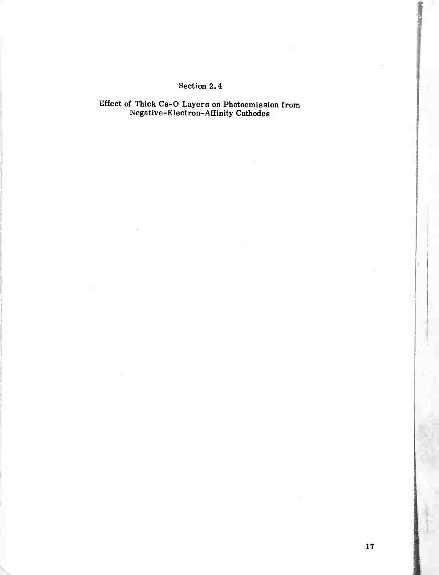# Section 2.4

Effect of Thick Cs-O Layers on Photoemission from Negative-Electron-Affinity Cathodes

**l**

**f**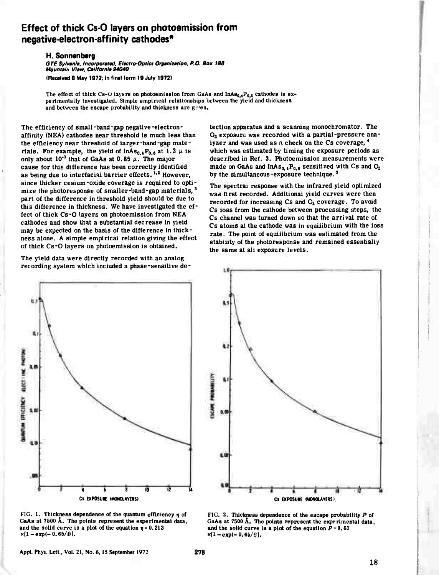# **Effect of thick Cs-0 layers on photoemission from negative-electron-affinity cathodes\***

#### **H. Sonnenberg**

*GTE Sylvanm. Incorporund, EltctroOptici Orgmiiation, P.O. Box 188 Mounuin Vi»w, Callforni» 94040*

**(Racalvad 8 May 1972: in final form 19 July 19721**

The effect of thick  $Cs - U$  iayers on photoemission from GaAs and  $InAs_{0.4}P_{0.6}$  cathodes is ex**perimentally Investigated. Simple empirical relationships between the yield and thickness and between the escape probability and thickness are g 'en.**

**The efficiency of small-band-gap negative-electronaffiiüty (NEA) cathodes near threshold is much less than the efficiency near threshold of larger-band-gap materials.** For **example**, the yield of  $\text{InAs}_{0.4}P_{0.6}$  at 1.3  $\mu$  is **only** about  $10^{-3}$  that of GaAs at 0.85  $\mu$ . The major **cause for this difference has been correctly identified as being due to interfacial barrier effects.,,^ However, since thicker cesium-oxide coverage is required to optimize the photoresponse of smaller-band-gap materials,3 part of the difference in threshold yield shou'd be due to this difference in thickness. We have investigated the effect of thick Cs-0 layers on photoemission from NEA cathodes and show that a substantial decrease in yield may be expected on the basis of the difference in thickness alone. A simple empirical relation giving the effect of thick Cs-0 layers on photoemission is obtained.**

**The yield data were directly recorded with an analog recording system which included a phase-sensitive de-**



**FIG. 1. Thickness dependence of the quantum efficiency tj of GaAs at 7500 A. The points represent the experimental data,** and the solid curve is a pict of the equation  $n = 0.213$  $x[1-exp(-0.65/t)].$ 

**tection apparatus and a scanning monochromator. The 0<sup>2</sup> exposure was recorded with <sup>a</sup> partial-pressure analyzer and was used as a check on the Cs coverage, \* which was estimated by timing the exposure periods as described in Ref. 3. Photoemission measurements were made** on GaAs and  $InAs_{0,4}P_{0,6}$  sensitized with Cs and  $O_2$ **by the simultaneous-exposure technique.<sup>1</sup>**

**The spectral response with the infrared yield optimized was first recorded. Additional yield curves were then recorded for increasing Cs and 0<sup>2</sup> coverage. To avoid Cs loss from the cathode between processing steps, the Cs channel was turned down so that the arrival rate of Cs atoms at the cathode was in equilibrium with the loss rate. The point of equilibrium was estimated from the stability of the photoresponse and remained essentially the same at all exposure levels.**



**FIG. 2. Thickness dependence of the escape probability** *P* **of GaAs at 7500 A. The points represent the experimental data, and** the solid curve is a plot of the equation  $P = 0.63$  $x(1-exp(-0.65/t)).$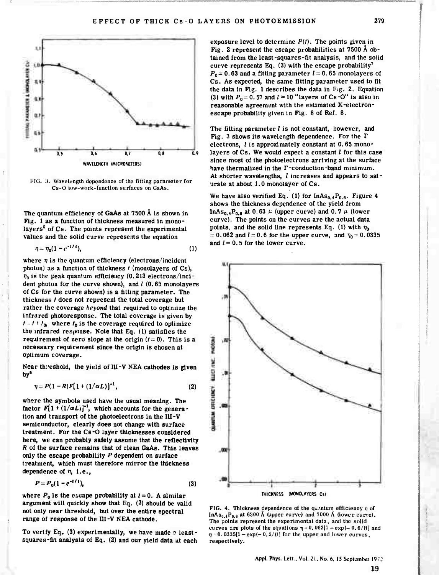

**FIG. ;i. Wavt'lungth dependence of the fitting parameter for Cs-Ü low-work-function surfaces on GaAs.**

**The quantum efficiency of GaAs at 7500 <sup>A</sup> is shown in Fig. <sup>1</sup> as a function of thickness measured in monolayers<sup>5</sup> of Cs. The points represent the experimental values and the solid curve represents the equation**

$$
\eta = \eta_0 (1 - e^{-t/\tau}), \tag{1}
$$

where  $\eta$  is the quantum efficiency (electrons/incident **photon) as a function of thickness / (monolayers of Cs),**  $\eta_0$  is the peak quantum efficiency (0.213 electrons/inci**dent photon for the curve shown), and / (0.65 monolayers of Cs for the curve shown) is a fitting parameter. The thickness / does not represent the total coverage but rather the coverage** *beyond* **that required to optimize the infrared photoresponse. The total coverage is given by**  $I = I + I_0$ , where  $I_0$  is the coverage required to optimize **the infrared response. Note that Eq. (1) satisfies the requirement** of zero slope at the origin  $(f = 0)$ . This is a **necessary requirement since the origin is chosen at optimum coverage.**

**Near threshold, the yield of III-V NEA cathodes is given by'**

$$
\eta = P(1 - R)F[1 + (1/\alpha L)]^{-1}, \qquad (2)
$$

**where the symbols used have the usual meaning. The** factor  $F[1+(1/\alpha L)]^{-1}$ , which accounts for the genera**tion and transport of the photoelectrons in the III-V semiconductor, clearly does not change with surface treatment. For the Cs-0 layer thicknesses considered here, we can probably safely assume that the reflectivity** *R* **of the surface remains that of clean GaAs. This leaves only the escape probability** *P* **dependent on surface treatment, which must therefore mirror the thickness dependence of n, i.e..**

$$
P = P_0 (1 - e^{-1/t}), \tag{3}
$$

**where**  $P_0$  is the escape probability at  $t = 0$ . A similar **argument will quickly show that Eq. (3) should be valid not only near threshold, but over the entire spectral range of response of the III-V NEA cathode.**

**To verify Eq. (3) experimentally, we have made ? leastsquares-fit analysis of Eq. (2) and our yield data at each**

**exposure level** to determine  $P(t)$ . The points given in **Fig. 2 represent the escape probabilities at 7500 Ä obtained from the least-squares-fit analysis, and the solid curve represents Eq. (3) with the escape probability<sup>7</sup>**  $P_0 = 0.63$  and a fitting parameter  $l = 0.65$  monolayers of **Cs. As expected, the same fitting parameter used to fit the data in Fig. <sup>1</sup> describes the data in Fig. 2. Equation** (3) with  $P_0 = 0.57$  and  $l \approx 10$  "layers of Cs-O" is also in **reasonable agreement with the estimated X-electronescape probability given in Fig. 8 of Ref. 8.**

**The fitting parameter / is not constant, however, and Fig. 3 shows its wavelength dependence. For the T electrons, / is approximately constant at 0.65 monolayers of Cs. We would expect a constant / for this case since most of the photoelectrons arriving at the surface have thermalized in the F-conduction-band minimum. At shorter wavelengths, / increases and appears to saturate at about 1.0 monolayer of Cs.**

We have also verified Eq. (1) for  $InAs_{0,4}P_{0,6}$ . Figure 4 **shows the thickness dependence of the yield from InAs**<sub>0.4</sub> $P_{0.6}$  at 0.63  $\mu$  (upper curve) and 0.7  $\mu$  (lower **curve). The points on the curves are the actual data** points, and the solid line represents Eq. (1) with  $\eta_0$  $= 0.062$  and  $l = 0.6$  for the upper curve, and  $\eta_0 = 0.0335$ and  $l = 0.5$  for the lower curve.



**FIG.** 4. Thickness dependence of the  $q$ uantum efficiency  $\eta$  of InAs<sub>0.4</sub>P<sub>0.6</sub> at 6300 Å (upper curve) and  $7000$  Å (lower curve). **The points represent the experimental data, and the solid curves** are plots of the equations  $\eta = 0.062[1 - \exp(-0.6/t)]$  and  $\eta$  = 0.0335(1 - exp(- 0.5/t)<sup>'</sup> for the upper and lower curves, **respectively.**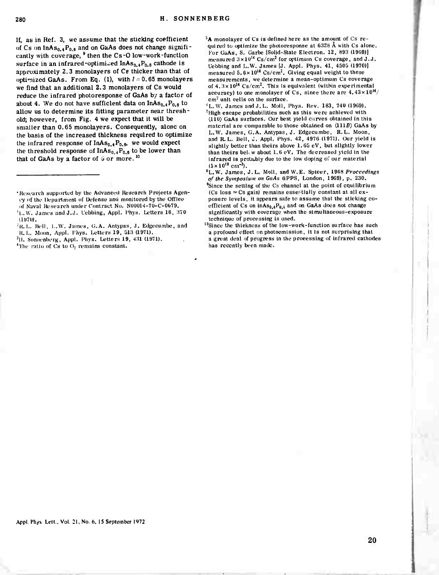If, as in Ref. 3, we assume that the sticking coefficient of Cs on  $InAs_{0.4}P_{0.6}$  and on GaAs does not change significantly with coverage, <sup>9</sup> then the Cs-O low-work-function surface in an infrared-optimized InAs<sub>0.4</sub>P<sub>0.6</sub> cathode is approximately 2.3 monolayers of Ce thicker than that of optimized GaAs. From Eq. (1), with  $l = 0.65$  monolayers we find that an additional 2.3 monolayers of Cs would reduce the infrared photoresponse of GaAs by a factor of about 4. We do not have sufficient data on  $InAs<sub>0.4</sub>P<sub>0.6</sub>$  to allow us to determine its fitting parameter near threshold; however, from Fig. 4 we expect that it will be smaller than 0.65 monolayers. Consequently, alone on the basis of the increased thickness required to optimize the infrared response of  $InAs_{0.4}P_{0.6}$ , we would expect the threshold response of  $InAs_{0.4}P_{0.6}$  to be lower than that of GaAs by a factor of *\>* or more. ' 0

<sup>3</sup>H. Sonnenberg, Appl. Phys. Letters 19, 431 (1971).

<sup>4</sup> The ratio of Cs to  $O<sub>2</sub>$  remains constant.

 ${}^5$ A monolayer of Cs is defined here as the amount of Cs required to optimize the photoresponse at  $6328$  Å with Cs alone. For GaAs, S. Garbe (Solid-State Electron. 12, 893 (1969)] measured  $3 \times 10^{14}$  Cs/cm<sup>2</sup> for optimum Cs coverage, and J.J. Uebbing and L.W. James {J. Appl. Phys. 41, 4505 (1970)]<br>measured 5.6×10<sup>14</sup> Cs/cm<sup>2</sup>. Giving equal weight to these measurements, we determine a mean-optimum Cs coverage of  $4.3 \times 10^{14}$  Cs/cm<sup>2</sup>. This is equivalent (within experimental accuracy) to one monolayer of Cs, since there are  $4.43 \times 10^{14}$ / cm<sup>2</sup> unit cells on the surface.

 $\delta$ L.W. James and J.L. Moll, Phys. Rev. 183, 740 (1969). 'High escape probabilities such as this were achieved with (110) GaAs surfaces. Our best yield carves obtained in this material are comparable to those obtained on  $\langle 111B \rangle$  GaAs by L.W. James, G.A. Antypas, J. Edgecumbe, R. L. Moon, and R. L. Bell, J. Appl. Phys. 42, 4976 (1971). Our yield is slightly better than theirs above 1.65 eV, but slightly lower than theirs bei. w about 1.6 eV. The decreased yield in the infrared is probably due to the low doping of our material  $(1 \times 10^{18} \text{ cm}^{-3}).$ 

<sup>10</sup>Since the thiekness of the low-work-function surface has such a profound effect on photoemission, it is not surprising that a great deal of progress in the processing of infrared cathodes has recently been made.

Appl. Phys. Lett., Vol. 21, No. 6, 15 September 1972

<sup>\*</sup>Research supported by the Advanced Research Projects Ageney of the Department of Defense anu monitored by the Office of Naval Research under Contract No. N00014-70-C-0079. <sup>1</sup>i., W. James and J.J. Lebbing, Appl. Phys. Letters 16, 370  $(1970)$ .

<sup>&</sup>lt;sup>1</sup>R.L. Bell, L.W. James, G.A. Antypas, J. Edgecumbe, and R. L. Moon, Appl. Fays. Letters 19, 513 (1971).

 ${}^{8}$ L.W. James, J.L. Moll, and W.E. Spieer, 1968 Proceedings *of the Symposium on GaAs* (IPPS, London, 1969), p, 230. <sup>9</sup>Since the setting of the Cs channel at the point of equilibrium (Cs loss  $\simeq$  Cs gain) remains essentially constant at all exposure levels, it appears safe to assume that the sticking coefficient of Cs on  $inAs_{0.4}P_{0.6}$  and on GaAs does not change significantly with coverage when the simultaneous-exposure technique of processing is used.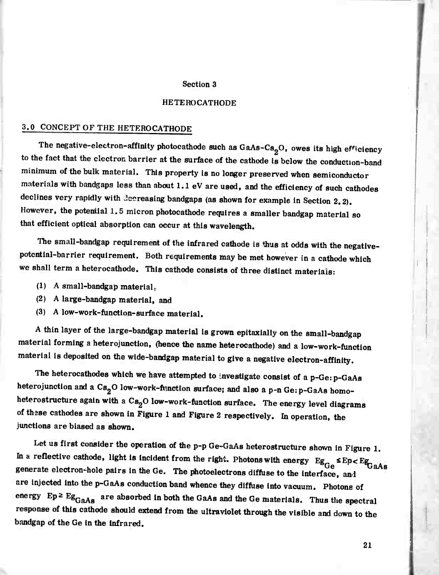#### Section 3

#### HETEROCATHODE

# 3.0 CONCEPT OF THE HETEROCATHODE

The negative-electron-affinity photocathode such as  $GaAs-Cs<sub>2</sub>O$ , owes its high efficiency to the fact that the electron barrier at the surface of the cathode is below the conduction-band minimum of the bulk material. This property is no longer preserved when semiconductor materials with bandgaps less than about 1.1 eV are used, and the efficiency of such cathodes declines very rapidly with Jeereasing bandgaps (as shown for example in Section 2.2). However, the potential 1.5 micron photocathode requires a smaller bandgap material so that efficient optical absorption can occur at this wavelength.

The small-bandgap requirement of the infrared cathode is thus at odds with the negativepotential-barrier requirement. Both requirements may be met however in a cathode which we shall term a heterocathode. This cathode consists of three distinct materials:

- $(1)$  A small-bandgap material.
- (2) <sup>A</sup> large-bandgap material, and
- (3) <sup>A</sup> low-work-function-surface material.

<sup>A</sup> thin layer of the large-bandgap material is grown epitaxially on the small-bandgap material forming a heterojunction, (hence the name heterocathode) and a low-work-function material is deposited on the wide-bandgap material to give a negative electron-affinity.

The heterocathodes which we have attempted to investigate consist of a p-Ge: p-GaAs heterojunction and a Cs<sub>2</sub>O low-work-function surface; and also a p-n Ge: p-GaAs homoheterostructure again with a  $Cs<sub>2</sub>O$  low-work-function surface. The energy level diagrams of thase cathodes are shown In Figure <sup>1</sup> and Figure 2 respectively. In operation, the junctions are biased as shown.

Let us first consider the operation of the p-p Ge-GaAs heterostructure shown in Figure 1. In a reflective cathode, light is incident from the right. Photons with energy  $E g_{Ge} \leq E p \leq E g_{aAs}$ <br>generate electron-hole pairs in the Ge. The photoelectrons diffuse to the interface, and are injected into the p-GaAs conduction band whence they diffuse into vacuum. Photons of energy  $Ep \ge Eg_{GaAs}$  are absorbed in both the GaAs and the Ge materials. Thus the spectral response of this cathode should extend from the ultraviolet through the visible and down to the bandgap of the Ge In the Infrared.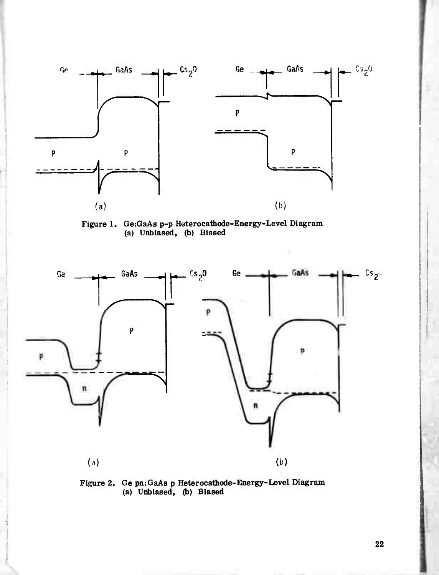

Figure 1. GeiGaAs p-p Heterocathode-Energy-Level Diagram (a) Unbiased, (b) Biased





22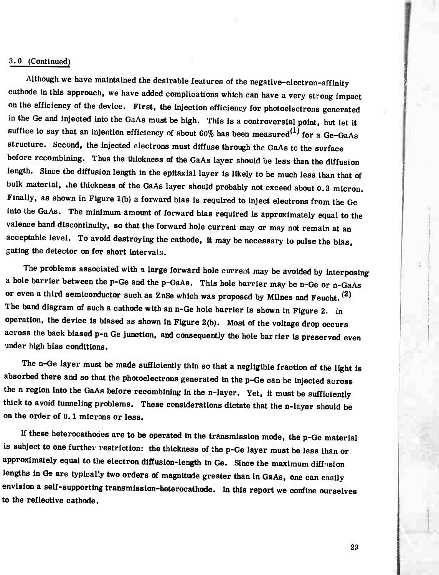#### 3.0 (Continued)

Although we have maintained the desirable features of the negative-electron-affinity cathode in this approach, we have added complications which can have a very strong impact on the efficiency of the device. First, the injection efficiency for photoelectrons generated in the Ge and injected into the GaAs must be high. This is a controversial point, but let it suffice to say that an injection efficiency of about 60% has been measured<sup>(1)</sup> for a Ge-GaAs structure. Second, the injected electrons must diffuse through the GaAs to the surface before recombining. Thus the thickness of the GaAs layer should be less than the diffusion length. Since the diffusion length in the epitaxial layer is likely to be much less than that of bulk material, the thickness of the GaAs layer should probably not exceed about 0.3 micron. Finally, as shown in Figure 1(b) a forward bias is required to inject electrons from the Ge into the GaAs. The minimum amount of forward bias required is approximately equal to the valence band discontinuity, so that the forward hole current may or may not remain at an acceptable level. To avoid destroying the cathode. It may be necessary to pulse the bias, gating the detector on for short intervals.

The problems associated with a large forward hole current may be avoided by interposing a hole barrier between the p-Ge and the p-GaAs. This hole barrier may be n-Ge or n-GaAs or even a third semiconductor such as ZnSe which was proposed by Milnes and Feucht.<sup>(2)</sup> The band diagram of such a cathode with an n-Ge hole barrier is shown in Figure 2. in operation, the device Is biased as shown In Figure 2(b). Most of the voltage drop occurs across the back biased p-n Ge junction, and consequently the hole bar rier is preserved even under high bias conditions.

The n-Ge layer must be made sufficiently thin so that a negligible fraction of the light is absorbed there and so that the photoelectrons generated in the p-Ge can be injected across the n region into the GaAs before recombining in the n-layer. Yet, it must be sufficiently thick to avoid tunneling problems. These considerations dictate that the n-layer should be on the order of 0.1 microns or less.

If these heterocathoaes are to be operated In the transmission mode, the p-Ge material is subject to one further restriction: the thickness of the p-Ge layer must be less than or approximately equal to the electron diffusion-length in Ge. Since the maximum diffusion lengths in Ge are typically two orders of magnitude greater than in GaAs, one can easily envision a self-supporting transmlssion-heterocathode. In this report we confine ourselves to the reflective cathode.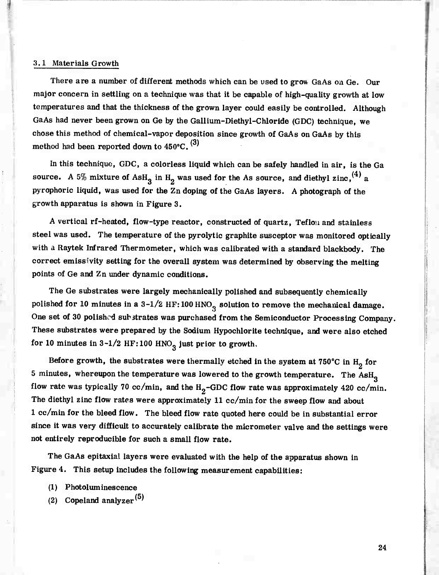#### 3.1 Materials Growth

There are a number of different methods which can be used to grow GaAs on Ge. Our major concern in settling on a technique was that it be capable of high-quality growrth at low temperatures and that the thickness of the grown layer could easily be controlled. Although GaAs had never been grown on Ge by the Gallium-Diethyl-Chloride (GDC) technique, we chose this method of chemical-vapor deposition since growth of GaAs on GaAs by this method had been reported down to  $450^{\circ}$ C.  $^{(3)}$ 

In this technique, GDC, a colorless liquid which can be safely handled in air, is the Ga source. A 5% mixture of AsH<sub>3</sub> in H<sub>2</sub> was used for the As source, and diethyl zinc, <sup>(4)</sup> a pyrophoric liquid, was used for the Zn doping of the GaAs layers. A photograph of the growth apparatus is shown in Figure 3.

<sup>A</sup> vertical rf-heated, flow-type reactor, constructed of quartz. Teflon and stainless steel was used. The temperature of the pyrolytic graphite susceptor was monitored optically with a Raytek Infrared Thermometer, which was calibrated with a standard blackbody. The correct emissivity setting for the overall system was determined by observing the melting points of Ge and Zn under dynamic conditions.

The Ge substrates were largely mechanically polished and subsequently chemically polished for 10 minutes in a  $3-1/2$  HF:100 HNO<sub>3</sub> solution to remove the mechanical damage. One set of 30 polished substrates was purchased from the Semiconductor Processing Company. These substrates were prepared by the Sodium Hypochlorite technique, and were also etched for 10 minutes in  $3-1/2$  HF:100 HNO<sub>3</sub> just prior to growth.

Before growth, the substrates were thermally etched in the system at  $750^{\circ}$ C in H<sub>2</sub> for 5 minutes, whereupon the temperature was lowered to the growth temperature. The AsH<sub>3</sub> flow rate was typically 70 cc/min, and the  $H_2$ -GDC flow rate was approximately 420 cc/min. The diethyl zinc flow rates were approximately 11 cc/min for the sweep flow and about <sup>1</sup> cc/min for the bleed flow. The bleed flow rate quoted here could be in substantial error since it was very difficult to accurately calibrate the micrometer valve and the settings were not entirely reproducible for such a small flow rate.

The GaAs epitaxial layers were evaluated with the help of the apparatus shown in Figure 4. This setup includes the following measurement capabilities:

- (1) Photoluminescence
- (2) Copeland analyzer<sup> $(5)$ </sup>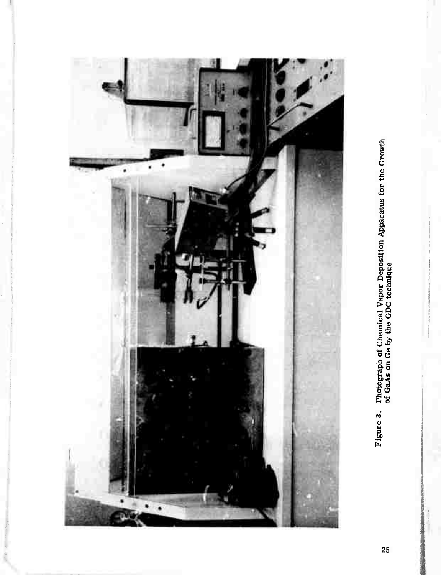

Figure 3. Photograph of Chemical Vapor Deposition Apparatus for the Growth of GaAs on Ge by the GDC technique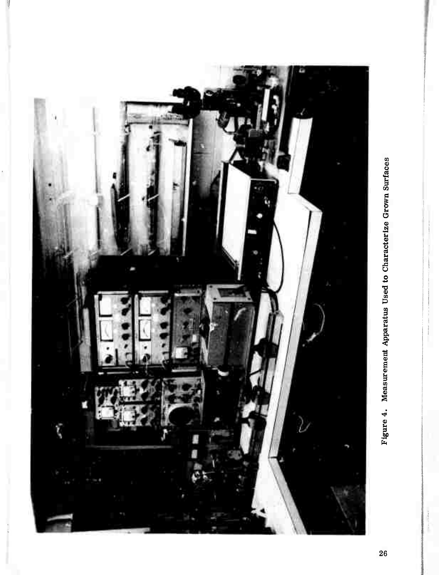

Figure 4. Measurement Apparatus Used to Characterize Grown Surfaces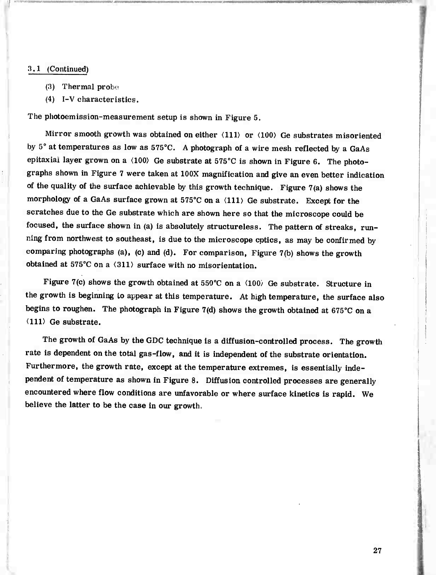#### 3.1 (Continued)

- (3) Thermal prob^
- (4) I-V characteristics.

The photoemission-measurement setup is shown in Figure 5.

Mirror smooth growth was obtained on either  $\langle 111 \rangle$  or  $\langle 100 \rangle$  Ge substrates misoriented by  $5^\circ$  at temperatures as low as  $575^\circ$ C. A photograph of a wire mesh reflected by a GaAs epitaxial layer grown on a  $\langle 100 \rangle$  Ge substrate at 575°C is shown in Figure 6. The photographs shown in Figure <sup>7</sup> were taken at 100X magnification and give an even better indication of the quality of the surface achievable by this growth technique. Figure 7(a) shows the morphology of a GaAs surface grown at  $575^{\circ}$ C on a  $\langle 111 \rangle$  Ge substrate. Except for the scratches due to the Ge substrate which are shown here so that the microscope could be focused, the surface shown in (a) is absolutely structureless. The pattern of streaks, running from northwest to southeast, is due to the microscope optics, as may be confirmed by comparing photographs (a), (c) and (d). For comparison. Figure 7(b) shows the growth obtained at 575°C on a  $\langle 311 \rangle$  surface with no misorientation.

Figure 7(c) shows the growth obtained at 550°C on a  $\langle 100 \rangle$  Ge substrate. Structure in the growth is beginning to appear at this temperature. At high temperature, the surface also begins to roughen. The photograph in Figure 7(d) shows the growth obtained at  $675^{\circ}\text{C}$  on a (111) Ge substrate.

The growth of GaAs by the GDC technique is a diffusion-controlled process. The growth rate is dependent on the total gas-flow, and it is independent of the substrate orientation. Furthermore, the growth rate, except at the temperature extremes, is essentially independent of temperature as shown in Figure 8. Diffusion controlled processes are generally encountered where flow conditions are unfavorable or where surface kinetics is rapid. We believe the latter to be the case in our growth.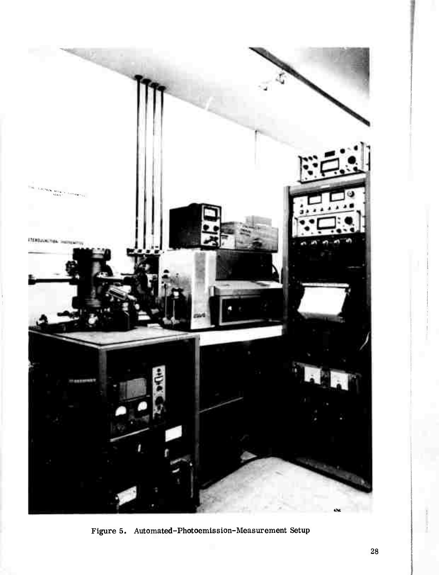

Figure 5. Automated-Photoemission-Measurement Setup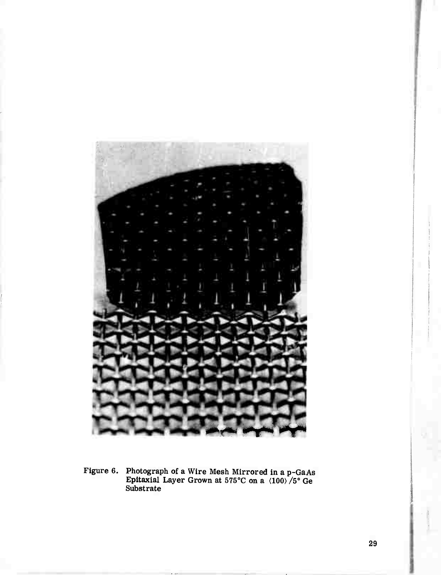

Figure 6. Photograph of a Wire Mesh Mirrored in a p-GaAs Epitaxial Layer Grown at  $575^{\circ}$ C on a  $\langle 100 \rangle / 5^{\circ}$  Ge Substrate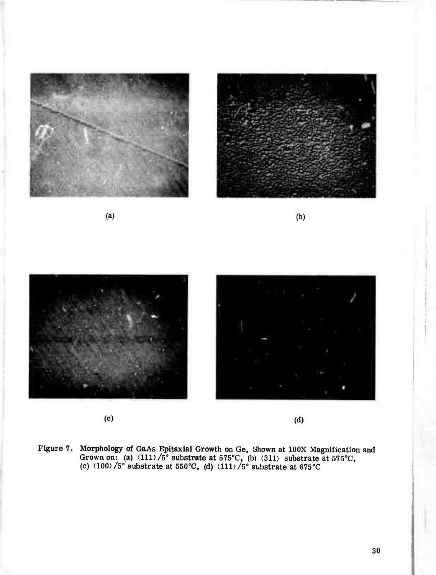

 $\qquad \qquad \textbf{(c)}\qquad \qquad \textbf{(d)}$ 

Figure 7. Morphology of GaAs Epitaxial Growth on Ge, Shown at 100X Magnification and Grown on: (a)  $\langle 111 \rangle / 5^{\circ}$  substrate at 575°C, (b)  $\langle 311 \rangle$  substrate at 575°C, (c)  $\langle 100 \rangle / 5^\circ$  substrate at 550°C, (d)  $\langle 111 \rangle / 5^\circ$  substrate at 675°C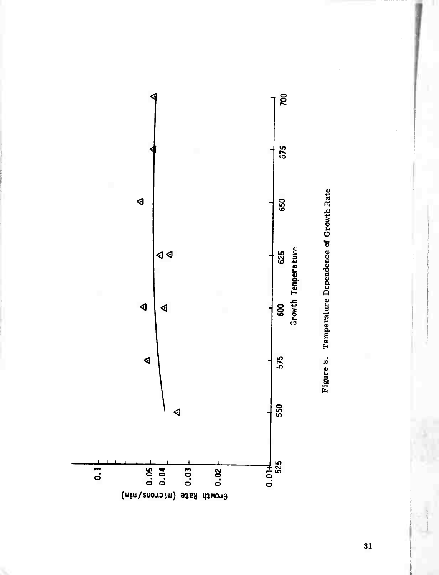

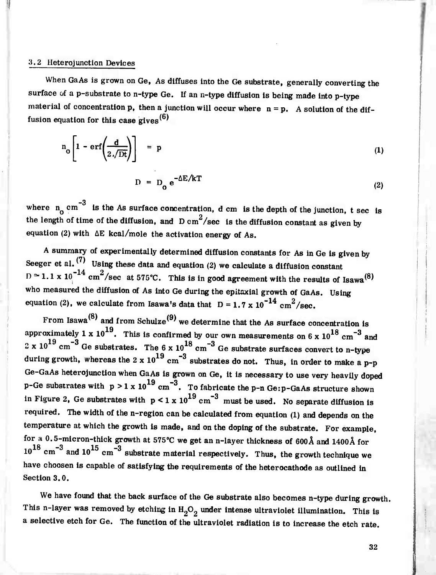#### *3.2* Heterojunction Devices

When GaAs is grown on Ge, As diffuses into the Ge substrate, generally converting the surface of a p-substrate to n-type Ge. If an n-type diffusion is being made into p-type material of concentration p, then a junction will occur where  $n = p$ . A solution of the diffusion equation for this case gives $^{(6)}$ 

$$
n_o \left[ 1 - erf \left( \frac{d}{2 \sqrt{Dt}} \right) \right] = p \tag{1}
$$
  

$$
D = D_o e^{-\Delta E / kT} \tag{2}
$$

\_3 where  $n_0$  cm  $\degree$  is the As surface concentration, d cm is the depth of the junction, t sec is the length of time of the diffusion, and  $D \text{ cm}^2/\text{sec}$  is the diffusion constant as given by equation (2) with  $\Delta E$  kcal/mole the activation energy of As.

A summary of experimentally determined diffusion constants for As in Ge is given by Seeger et al.  $(7)$  Using these data and equation (2) we calculate a diffusion constant  $D \approx 1.1 \times 10^{-14}$  cm<sup>2</sup>/sec at 575°C. This is in good agreement with the results of Isawa<sup>(8)</sup> who measured the diffusion of As into Ge during the epitaxial growth of GaAs. Using equation (2), we calculate from Isawa's data that  $D = 1.7 \times 10^{-14} \text{ cm}^2/\text{sec}.$ 

From Isawa $^{(8)}$  and from Schulze $^{(9)}$  we determine that the As surface concentration is approximately 1 x 10<sup>19</sup>. This is confirmed by our own measurements on 6 x 10<sup>18</sup> cm<sup>-3</sup> and 2 x 10<sup>19</sup> cm<sup>-3</sup> Ge substrates. The 6 x 10<sup>18</sup> cm<sup>-3</sup> Ge substrate surfaces convert to n-type during growth, whereas the 2 x  $10^{19}$  cm<sup>-3</sup> substrates do not. Thus, in order to make a p-p Ge-GaAs heterojunction when GaAs is grown on Ge, it is necessary to use very heavily doped p-Ge substrates with  $p > 1 \times 10^{19}$  cm<sup>-3</sup>. To fabricate the p-n Ge: p-GaAs structure shown in Figure 2, Ge substrates with  $p < 1 \times 10^{19}$  cm<sup>-3</sup> must be used. No separate diffusion is required. The width of the n-region can be calculated from equation (1) and depends on the temperature at which the growth is made, and on the doping of the substrate. For example, for a 0.5-micron-thick growth at 575°C we get an n-layer thickness of 600Å and 1400Å for  $10^{18}$  cm<sup>-3</sup> and  $10^{15}$  cm<sup>-3</sup> substrate material respectively. Thus, the growth technique we have choosen is capable of satisfying the requirements of the heterocathode as outlined in Section 3.0.

We have found that the back surface of the Ge substrate also becomes n-type during growth. This n-layer was removed by etching in  $H_2O_2$  under intense ultraviolet illumination. This is a selective etch for Ge. The function of the ultraviolet radiation is to increase the etch rate.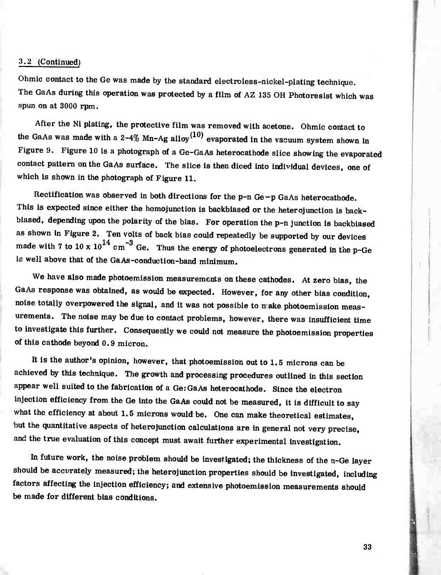#### 3.2 (Continued)

Ohmic contact to the Ge was made by the standard electroless-nickel-plating technique. The GaAs during this operation was protected by a film of AZ 135 OH Photoresist which was spun on at 3000 rpm.

After the Ni plating, the protective film was removed with acetone. Ohmic contact to the GaAs was made with a  $2-4\%$  Mn-Ag alloy<sup>(10)</sup> evaporated in the vacuum system shown in Figure 9. Figure 10 is a photograph of a Ge-GaAs heterocathode slice showing the evaporated contact pattern on the GaAs surface. The slice is then diced into individual devices, one of which is shown in the photograph of Figure 11.

Rectification was observed in both directions for the p-n Ge-p GaAs heterocathode. This is expected since either the homojunction is backbiased or the heterojunction is backbiased, depending upon the polarity of the bias. For operation the p-n junction is backbiased as shown in Figure 2. Ten volts of back bias could repeatedly be supported by our devices made with 7 to 10 x  $10^{14}$  cm<sup>-3</sup> Ge. Thus the energy of photoelectrons generated in the p-Ge *is* well above that of the GaAs-conduction-band minimum.

We have also made photoemission measurements on these cathodes. At zero bias, the GaAs response was obtained, as would be expected. However, for any other bias condition, noise totally overpowered the signal, and it was not possible to make photoemission measurements. The noise may be due to contact problems, however, there was insufficient time to investigate this further. Consequently we could not measure the photoemission properties of this cathode beyond 0.9 micron.

It is the author's opinion, however, that photoemission out to 1.5 microns can be achieved by this technique. The growth and processing procedures outlined in this section appear well suited to the fabrication of a GerGaAs heterocathode. Since the electron injection efficiency from the Ge Into the GaAs could not be measured, it is difficult to say what the efficiency at about 1.5 microns would be. One can make theoretical estimates, but the quantitative aspects of heterojunction calculations are in general not very precise, and the true evaluation of this concept must await further experimental investigation.

In future work, the noise problem should be investigated; the thickness of the n-Ge layer should be accurately measured; the heterojunction properties should be investigated, including factors affecting the injection efficiency; and extensive photoemlsslon measurements should be made for different bias conditions.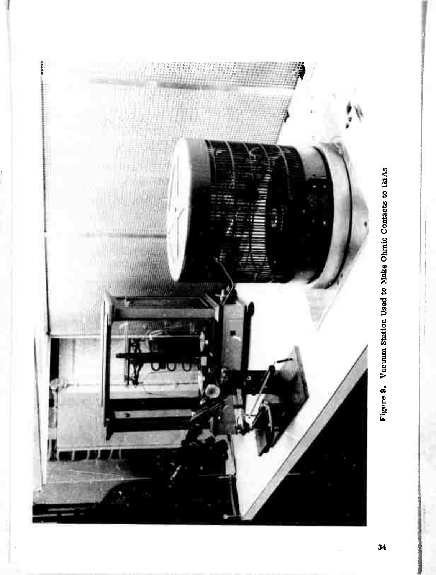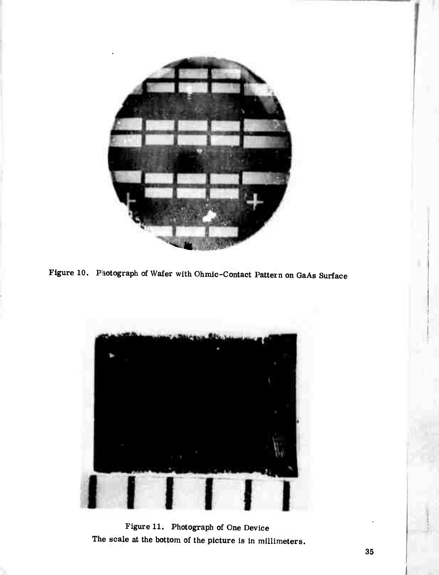





Figure 11. Photograph of One Device The scale at the bottom of the picture is in millimeters.

**I**